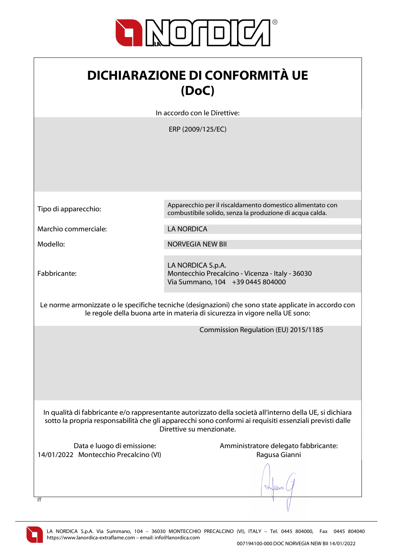

| <b>DICHIARAZIONE DI CONFORMITÀ UE</b> |
|---------------------------------------|
| (DoC)                                 |

In accordo con le Direttive:

ERP (2009/125/EC)

Marchio commerciale: LA NORDICA

Fabbricante:

Tipo di apparecchio: Apparecchio per il riscaldamento domestico alimentato con combustibile solido, senza la produzione di acqua calda.

Modello: NORVEGIA NEW BII

LA NORDICA S.p.A. Montecchio Precalcino - Vicenza - Italy - 36030 Via Summano, 104 +39 0445 804000

Le norme armonizzate o le specifiche tecniche (designazioni) che sono state applicate in accordo con le regole della buona arte in materia di sicurezza in vigore nella UE sono:

Commission Regulation (EU) 2015/1185

In qualità di fabbricante e/o rappresentante autorizzato della società all'interno della UE, si dichiara sotto la propria responsabilità che gli apparecchi sono conformi ai requisiti essenziali previsti dalle Direttive su menzionate.

14/01/2022 Montecchio Precalcino (VI) Ragusa Gianni

Data e luogo di emissione: Amministratore delegato fabbricante:

When



 $\overline{I}$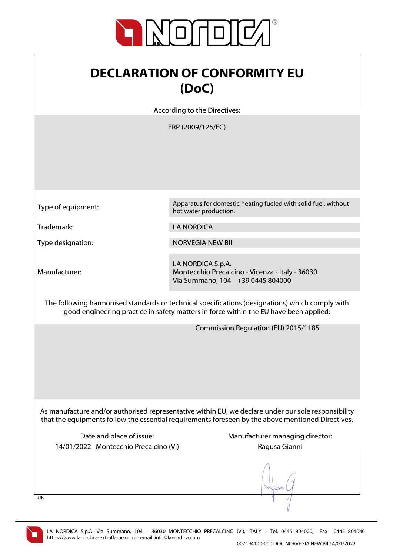

## DECLARATION OF CONFORMITY EU (DoC)

According to the Directives:

ERP (2009/125/EC)

Type of equipment: Apparatus for domestic heating fueled with solid fuel, without hot water production.

Trademark: LA NORDICA

Type designation: NORVEGIA NEW BII

Manufacturer:

LA NORDICA S.p.A.

Montecchio Precalcino - Vicenza - Italy - 36030 Via Summano, 104 +39 0445 804000

The following harmonised standards or technical specifications (designations) which comply with good engineering practice in safety matters in force within the EU have been applied:

Commission Regulation (EU) 2015/1185

As manufacture and/or authorised representative within EU, we declare under our sole responsibility that the equipments follow the essential requirements foreseen by the above mentioned Directives.

14/01/2022 Montecchio Precalcino (VI) Ragusa Gianni

Date and place of issue: Manufacturer managing director:

UK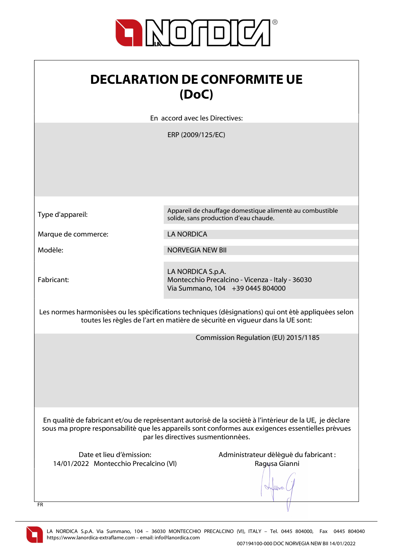

| <b>DECLARATION DE CONFORMITE UE</b> |
|-------------------------------------|
| (DoC)                               |

En accord avec les Directives:

ERP (2009/125/EC)

|  | Type d'appareil: |
|--|------------------|
|  |                  |

Appareil de chauffage domestique alimenté au combustible solide, sans production d'eau chaude.

Marque de commerce: LA NORDICA

Modèle: NORVEGIA NEW BII

Fabricant:

LA NORDICA S.p.A. Montecchio Precalcino - Vicenza - Italy - 36030 Via Summano, 104 +39 0445 804000

Les normes harmonisées ou les spécifications techniques (désignations) qui ont été appliquées selon toutes les règles de l'art en matière de sécurité en vigueur dans la UE sont:

Commission Regulation (EU) 2015/1185

En qualité de fabricant et/ou de représentant autorisé de la société à l'intérieur de la UE, je déclare sous ma propre responsabilité que les appareils sont conformes aux exigences essentielles prévues par les directives susmentionnées.

14/01/2022 Montecchio Precalcino (VI) Ragusa Gianni

Date et lieu d'émission: Administrateur délégué du fabricant :

Wood

FR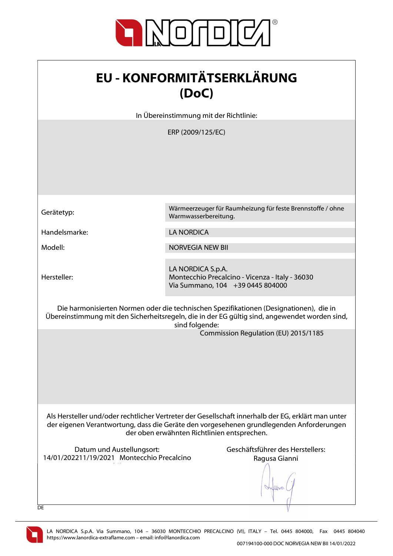

| <b>EU - KONFORMITÄTSERKLÄRUNG</b> |
|-----------------------------------|
| (DoC)                             |

In Übereinstimmung mit der Richtlinie:

ERP (2009/125/EC)

Handelsmarke: LA NORDICA

Hersteller:

Gerätetyp: Wärmeerzeuger für Raumheizung für feste Brennstoffe / ohne Warmwasserbereitung.

Modell: NORVEGIA NEW BII

LA NORDICA S.p.A. Montecchio Precalcino - Vicenza - Italy - 36030 Via Summano, 104 +39 0445 804000

Die harmonisierten Normen oder die technischen Spezifikationen (Designationen), die in Übereinstimmung mit den Sicherheitsregeln, die in der EG gültig sind, angewendet worden sind, sind folgende:

Commission Regulation (EU) 2015/1185

Als Hersteller und/oder rechtlicher Vertreter der Gesellschaft innerhalb der EG, erklärt man unter der eigenen Verantwortung, dass die Geräte den vorgesehenen grundlegenden Anforderungen der oben erwähnten Richtlinien entsprechen.

Datum und Austellungsort: Geschäftsführer des Herstellers: 14/01/202211/19/2021 Montecchio Precalcino  $\mathcal{N}(\mathcal{N})$ 

Ragusa Gianni

lbor.



**DE**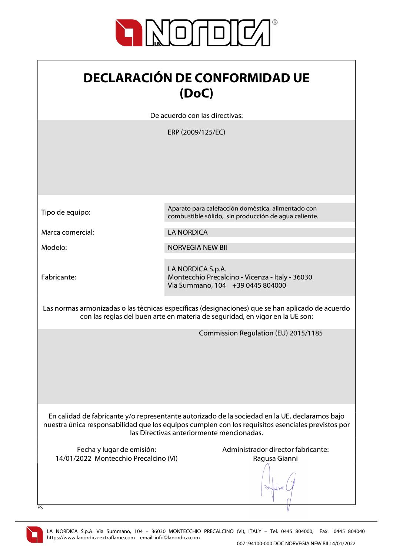

| <b>DECLARACIÓN DE CONFORMIDAD UE</b> |
|--------------------------------------|
| (DoC)                                |

De acuerdo con las directivas:

ERP (2009/125/EC)

|                                                                                                                                                                                  | LIII (200 <i>3)</i> 123/LC/                                                                                                                                                                                                                      |
|----------------------------------------------------------------------------------------------------------------------------------------------------------------------------------|--------------------------------------------------------------------------------------------------------------------------------------------------------------------------------------------------------------------------------------------------|
|                                                                                                                                                                                  |                                                                                                                                                                                                                                                  |
| Tipo de equipo:                                                                                                                                                                  | Aparato para calefacción doméstica, alimentado con<br>combustible sólido, sin producción de agua caliente.                                                                                                                                       |
| Marca comercial:                                                                                                                                                                 | <b>LA NORDICA</b>                                                                                                                                                                                                                                |
| Modelo:                                                                                                                                                                          | <b>NORVEGIA NEW BII</b>                                                                                                                                                                                                                          |
| Fabricante:                                                                                                                                                                      | LA NORDICA S.p.A.<br>Montecchio Precalcino - Vicenza - Italy - 36030<br>Via Summano, 104 +39 0445 804000                                                                                                                                         |
| Las normas armonizadas o las técnicas específicas (designaciones) que se han aplicado de acuerdo<br>con las reglas del buen arte en materia de seguridad, en vigor en la UE son: |                                                                                                                                                                                                                                                  |
|                                                                                                                                                                                  | Commission Regulation (EU) 2015/1185                                                                                                                                                                                                             |
|                                                                                                                                                                                  | En calidad de fabricante y/o representante autorizado de la sociedad en la UE, declaramos bajo<br>nuestra única responsabilidad que los equipos cumplen con los requisitos esenciales previstos por<br>las Directivas anteriormente mencionadas. |
| Fecha y lugar de emisión:<br>14/01/2022 Montecchio Precalcino (VI)                                                                                                               | Administrador director fabricante:<br>Ragusa Gianni                                                                                                                                                                                              |
|                                                                                                                                                                                  |                                                                                                                                                                                                                                                  |
| ES                                                                                                                                                                               |                                                                                                                                                                                                                                                  |

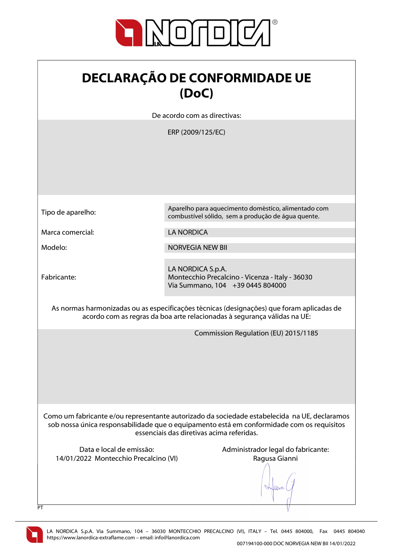

| <b>DECLARAÇÃO DE CONFORMIDADE UE</b> |
|--------------------------------------|
| (DoC)                                |

De acordo com as directivas:

ERP (2009/125/EC)

| Tipo de aparelho:                                                                                                                                                                                                                      | Aparelho para aquecimento doméstico, alimentado com<br>combustível sólido, sem a produção de água quente. |  |
|----------------------------------------------------------------------------------------------------------------------------------------------------------------------------------------------------------------------------------------|-----------------------------------------------------------------------------------------------------------|--|
| Marca comercial:                                                                                                                                                                                                                       | <b>LA NORDICA</b>                                                                                         |  |
| Modelo:                                                                                                                                                                                                                                | <b>NORVEGIA NEW BII</b>                                                                                   |  |
| Fabricante:                                                                                                                                                                                                                            | LA NORDICA S.p.A.<br>Montecchio Precalcino - Vicenza - Italy - 36030<br>Via Summano, 104 +39 0445 804000  |  |
| As normas harmonizadas ou as especificações técnicas (designações) que foram aplicadas de<br>acordo com as regras da boa arte relacionadas à segurança válidas na UE:                                                                  |                                                                                                           |  |
|                                                                                                                                                                                                                                        | Commission Regulation (EU) 2015/1185                                                                      |  |
| Como um fabricante e/ou representante autorizado da sociedade estabelecida na UE, declaramos<br>sob nossa única responsabilidade que o equipamento está em conformidade com os requisitos<br>essenciais das diretivas acima referidas. |                                                                                                           |  |
| Data e local de emissão:<br>14/01/2022 Montecchio Precalcino (VI)<br>PT                                                                                                                                                                | Administrador legal do fabricante:<br>Ragusa Gianni                                                       |  |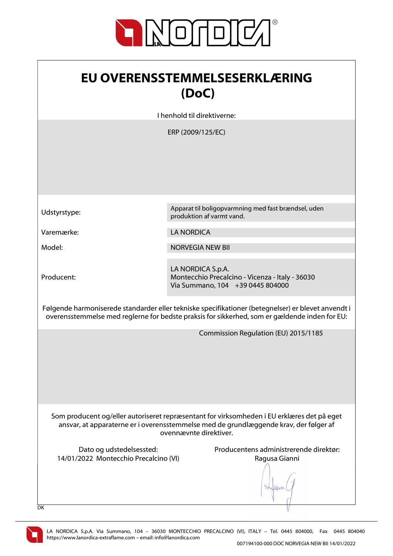

| <b>EU OVERENSSTEMMELSESERKLÆRING</b> |
|--------------------------------------|
| (DoC)                                |

I henhold til direktiverne:

ERP (2009/125/EC)

Producent:

Udstyrstype: Apparat til boligopvarmning med fast brændsel, uden produktion af varmt vand.

Varemærke: LA NORDICA

Model: NORVEGIA NEW BII

LA NORDICA S.p.A. Montecchio Precalcino - Vicenza - Italy - 36030 Via Summano, 104 +39 0445 804000

Følgende harmoniserede standarder eller tekniske specifikationer (betegnelser) er blevet anvendt i overensstemmelse med reglerne for bedste praksis for sikkerhed, som er gældende inden for EU:

Commission Regulation (EU) 2015/1185

Som producent og/eller autoriseret repræsentant for virksomheden i EU erklæres det på eget ansvar, at apparaterne er i overensstemmelse med de grundlæggende krav, der følger af ovennævnte direktiver.

14/01/2022 Montecchio Precalcino (VI) Ragusa Gianni

Dato og udstedelsessted: Producentens administrerende direktør:

lers

DK

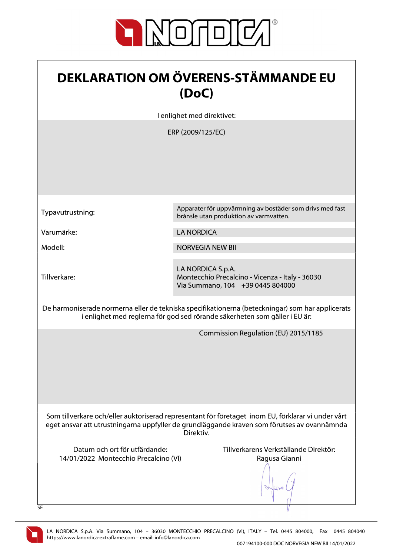

| <b>DEKLARATION OM ÖVERENS-STÄMMANDE EU</b><br>(DoC)                                                                                                                                                            |                                                                                                                                                                                                              |  |
|----------------------------------------------------------------------------------------------------------------------------------------------------------------------------------------------------------------|--------------------------------------------------------------------------------------------------------------------------------------------------------------------------------------------------------------|--|
|                                                                                                                                                                                                                | I enlighet med direktivet:                                                                                                                                                                                   |  |
|                                                                                                                                                                                                                | ERP (2009/125/EC)                                                                                                                                                                                            |  |
| Typavutrustning:                                                                                                                                                                                               | Apparater för uppvärmning av bostäder som drivs med fast<br>brànsle utan produktion av varmvatten.                                                                                                           |  |
| Varumärke:                                                                                                                                                                                                     | <b>LA NORDICA</b>                                                                                                                                                                                            |  |
| Modell:                                                                                                                                                                                                        | <b>NORVEGIA NEW BII</b>                                                                                                                                                                                      |  |
| Tillverkare:                                                                                                                                                                                                   | LA NORDICA S.p.A.<br>Montecchio Precalcino - Vicenza - Italy - 36030<br>Via Summano, 104 +39 0445 804000<br>De harmoniserade normerna eller de tekniska specifikationerna (beteckningar) som har applicerats |  |
|                                                                                                                                                                                                                | i enlighet med reglerna för god sed rörande säkerheten som gäller i EU är:                                                                                                                                   |  |
|                                                                                                                                                                                                                | Commission Regulation (EU) 2015/1185                                                                                                                                                                         |  |
| Som tillverkare och/eller auktoriserad representant för företaget inom EU, förklarar vi under vårt<br>eget ansvar att utrustningarna uppfyller de grundläggande kraven som förutses av ovannämnda<br>Direktiv. |                                                                                                                                                                                                              |  |
| Datum och ort för utfärdande:<br>14/01/2022 Montecchio Precalcino (VI)<br>SE                                                                                                                                   | Tillverkarens Verkställande Direktör:<br>Ragusa Gianni                                                                                                                                                       |  |

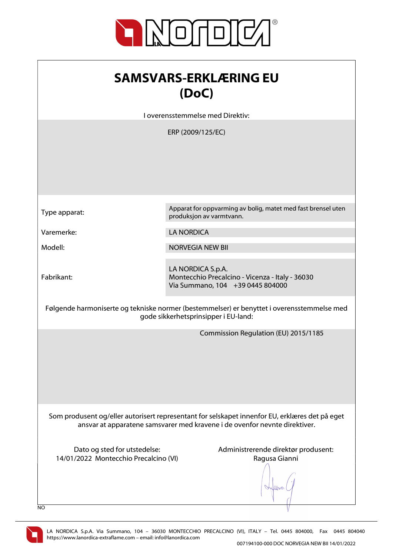

| <b>SAMSVARS-ERKLÆRING EU</b> |
|------------------------------|
| (DoC)                        |

I overensstemmelse med Direktiv:

ERP (2009/125/EC)

Type apparat: Apparat for oppvarming av bolig, matet med fast brensel uten produksjon av varmtvann.

Varemerke: LA NORDICA

Modell: NORVEGIA NEW BII

Fabrikant:

LA NORDICA S.p.A. Montecchio Precalcino - Vicenza - Italy - 36030 Via Summano, 104 +39 0445 804000

Følgende harmoniserte og tekniske normer (bestemmelser) er benyttet i overensstemmelse med gode sikkerhetsprinsipper i EU-land:

Commission Regulation (EU) 2015/1185

Som produsent og/eller autorisert representant for selskapet innenfor EU, erklæres det på eget ansvar at apparatene samsvarer med kravene i de ovenfor nevnte direktiver.

14/01/2022 Montecchio Precalcino (VI) Ragusa Gianni

Dato og sted for utstedelse: Administrerende direktør produsent:

Alberton

NO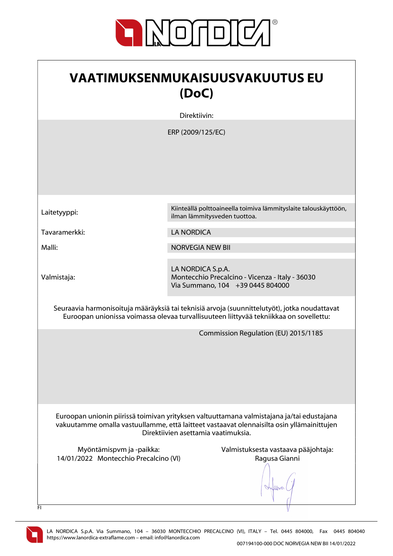

| <b>VAATIMUKSENMUKAISUUSVAKUUTUS EU</b><br>(DoC)                                                                                                                                                                               |                                                                                                          |  |
|-------------------------------------------------------------------------------------------------------------------------------------------------------------------------------------------------------------------------------|----------------------------------------------------------------------------------------------------------|--|
|                                                                                                                                                                                                                               | Direktiivin:                                                                                             |  |
|                                                                                                                                                                                                                               | ERP (2009/125/EC)                                                                                        |  |
| Laitetyyppi:                                                                                                                                                                                                                  | Kiinteällä polttoaineella toimiva lämmityslaite talouskäyttöön,<br>ilman lämmitysveden tuottoa.          |  |
| Tavaramerkki:                                                                                                                                                                                                                 | <b>LA NORDICA</b>                                                                                        |  |
| Malli:                                                                                                                                                                                                                        | <b>NORVEGIA NEW BII</b>                                                                                  |  |
| Valmistaja:                                                                                                                                                                                                                   | LA NORDICA S.p.A.<br>Montecchio Precalcino - Vicenza - Italy - 36030<br>Via Summano, 104 +39 0445 804000 |  |
| Seuraavia harmonisoituja määräyksiä tai teknisiä arvoja (suunnittelutyöt), jotka noudattavat<br>Euroopan unionissa voimassa olevaa turvallisuuteen liittyvää tekniikkaa on sovellettu:                                        |                                                                                                          |  |
|                                                                                                                                                                                                                               | Commission Regulation (EU) 2015/1185                                                                     |  |
| Euroopan unionin piirissä toimivan yrityksen valtuuttamana valmistajana ja/tai edustajana<br>vakuutamme omalla vastuullamme, että laitteet vastaavat olennaisilta osin yllämainittujen<br>Direktiivien asettamia vaatimuksia. |                                                                                                          |  |
| Myöntämispvm ja -paikka:<br>14/01/2022 Montecchio Precalcino (VI)<br>FI                                                                                                                                                       | Valmistuksesta vastaava pääjohtaja:<br>Ragusa Gianni                                                     |  |

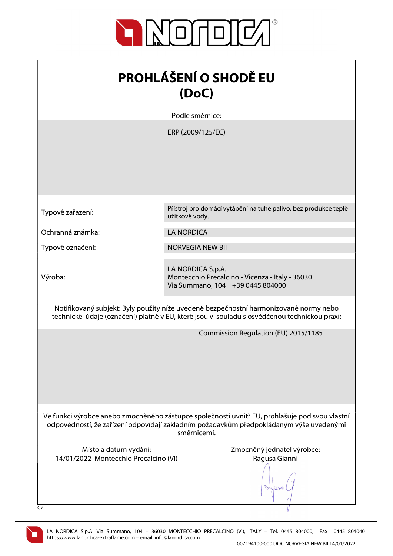

| <b>PROHLÁŠENÍ O SHODĚ EU</b><br>(DoC)                                                                                                                                                                    |                                                                                                          |
|----------------------------------------------------------------------------------------------------------------------------------------------------------------------------------------------------------|----------------------------------------------------------------------------------------------------------|
|                                                                                                                                                                                                          | Podle směrnice:                                                                                          |
|                                                                                                                                                                                                          | ERP (2009/125/EC)                                                                                        |
| Typové zařazení:                                                                                                                                                                                         | Přístroj pro domácí vytápění na tuhé palivo, bez produkce teplé<br>užitkové vody.                        |
| Ochranná známka:                                                                                                                                                                                         | <b>LA NORDICA</b>                                                                                        |
| Typové označení:                                                                                                                                                                                         | <b>NORVEGIA NEW BII</b>                                                                                  |
| Výroba:                                                                                                                                                                                                  | LA NORDICA S.p.A.<br>Montecchio Precalcino - Vicenza - Italy - 36030<br>Via Summano, 104 +39 0445 804000 |
| Notifikovaný subjekt: Byly použity níže uvedené bezpečnostní harmonizované normy nebo<br>technické údaje (označení) platné v EU, které jsou v souladu s osvědčenou technickou praxí:                     |                                                                                                          |
|                                                                                                                                                                                                          | Commission Regulation (EU) 2015/1185                                                                     |
| Ve funkci výrobce anebo zmocněného zástupce společnosti uvnitř EU, prohlašuje pod svou vlastní<br>odpovědností, že zařízení odpovídají základním požadavkům předpokládaným výše uvedenými<br>směrnicemi. |                                                                                                          |
| Místo a datum vydání:<br>14/01/2022 Montecchio Precalcino (VI)<br>CZ                                                                                                                                     | Zmocněný jednatel výrobce:<br>Ragusa Gianni                                                              |

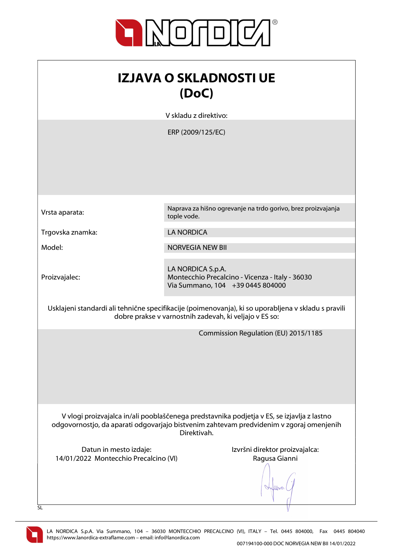

| <b>IZJAVA O SKLADNOSTI UE</b><br>(DoC)                                                                                                                                                               |                                                                                                          |
|------------------------------------------------------------------------------------------------------------------------------------------------------------------------------------------------------|----------------------------------------------------------------------------------------------------------|
|                                                                                                                                                                                                      | V skladu z direktivo:                                                                                    |
|                                                                                                                                                                                                      | ERP (2009/125/EC)                                                                                        |
| Vrsta aparata:                                                                                                                                                                                       | Naprava za hišno ogrevanje na trdo gorivo, brez proizvajanja<br>tople vode.                              |
| Trgovska znamka:                                                                                                                                                                                     | <b>LA NORDICA</b>                                                                                        |
| Model:                                                                                                                                                                                               | <b>NORVEGIA NEW BII</b>                                                                                  |
| Proizvajalec:                                                                                                                                                                                        | LA NORDICA S.p.A.<br>Montecchio Precalcino - Vicenza - Italy - 36030<br>Via Summano, 104 +39 0445 804000 |
| Usklajeni standardi ali tehnične specifikacije (poimenovanja), ki so uporabljena v skladu s pravili<br>dobre prakse v varnostnih zadevah, ki veljajo v ES so:                                        |                                                                                                          |
|                                                                                                                                                                                                      | Commission Regulation (EU) 2015/1185                                                                     |
| V vlogi proizvajalca in/ali pooblaščenega predstavnika podjetja v ES, se izjavlja z lastno<br>odgovornostjo, da aparati odgovarjajo bistvenim zahtevam predvidenim v zgoraj omenjenih<br>Direktivah. |                                                                                                          |
| Datun in mesto izdaje:<br>14/01/2022 Montecchio Precalcino (VI)                                                                                                                                      | Izvršni direktor proizvajalca:<br>Ragusa Gianni                                                          |

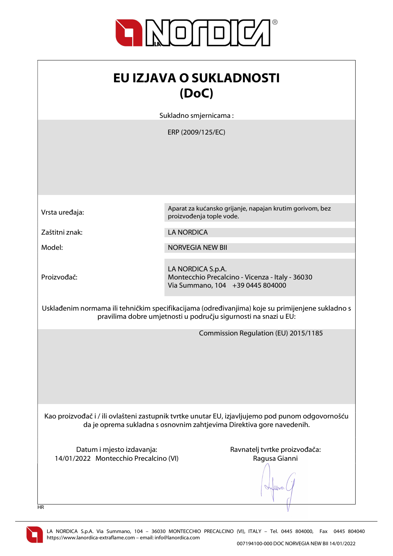

| <b>EU IZJAVA O SUKLADNOSTI</b><br>(DoC)                                                                                                                                   |                                                                                                          |  |
|---------------------------------------------------------------------------------------------------------------------------------------------------------------------------|----------------------------------------------------------------------------------------------------------|--|
| Sukladno smjernicama:                                                                                                                                                     |                                                                                                          |  |
|                                                                                                                                                                           | ERP (2009/125/EC)                                                                                        |  |
| Vrsta uređaja:                                                                                                                                                            | Aparat za kućansko grijanje, napajan krutim gorivom, bez<br>proizvođenja tople vode.                     |  |
| Zaštitni znak:                                                                                                                                                            | <b>LA NORDICA</b>                                                                                        |  |
| Model:                                                                                                                                                                    | <b>NORVEGIA NEW BII</b>                                                                                  |  |
| Proizvođač:                                                                                                                                                               | LA NORDICA S.p.A.<br>Montecchio Precalcino - Vicenza - Italy - 36030<br>Via Summano, 104 +39 0445 804000 |  |
| Usklađenim normama ili tehničkim specifikacijama (određivanjima) koje su primijenjene sukladno s<br>pravilima dobre umjetnosti u području sigurnosti na snazi u EU:       |                                                                                                          |  |
|                                                                                                                                                                           | Commission Regulation (EU) 2015/1185                                                                     |  |
| Kao proizvođač i / ili ovlašteni zastupnik tvrtke unutar EU, izjavljujemo pod punom odgovornošću<br>da je oprema sukladna s osnovnim zahtjevima Direktiva gore navedenih. |                                                                                                          |  |
| Datum i mjesto izdavanja:<br>14/01/2022 Montecchio Precalcino (VI)                                                                                                        | Ravnatelj tvrtke proizvođača:<br>Ragusa Gianni                                                           |  |

HR

 $\sqrt{}$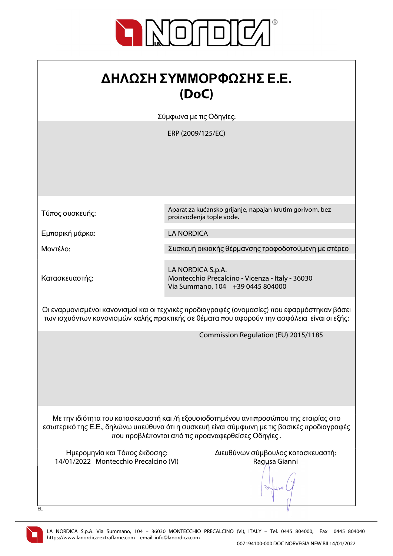

## ΔΗΛΩΣΗ ΣΥΜΜΟΡΦΩΣΗΣ Ε.Ε. (DoC)

Σύμφωνα με τις Οδηγίες:

ERP (2009/125/EC)

Τύπος συσκευής:

Εμπορική μάρκα: LA NORDICA

Κατασκευαστής:

Aparat za kućansko grijanje, napajan krutim gorivom, bez proizvođenja tople vode.

Μοντέλο: Συσκευή οικιακής θέρμανσης τροφοδοτούμενη με στέρεο

LA NORDICA S.p.A. Montecchio Precalcino - Vicenza - Italy - 36030 Via Summano, 104 +39 0445 804000

Οι εναρμονισμένοι κανονισμοί και οι τεχνικές προδιαγραφές (ονομασίες) που εφαρμόστηκαν βάσει των ισχυόντων κανονισμών καλής πρακτικής σε θέματα που αφορούν την ασφάλεια είναι οι εξής:

Commission Regulation (EU) 2015/1185

Με την ιδιότητα του κατασκευαστή και /ή εξουσιοδοτημένου αντιπροσώπου της εταιρίας στο εσωτερικό της Ε.Ε., δηλώνω υπεύθυνα ότι η συσκευή είναι σύμφωνη με τις βασικές προδιαγραφές που προβλέπονται από τις προαναφερθείσες Οδηγίες .

14/01/2022 Montecchio Precalcino (VI) Ragusa Gianni

Ημερομηνία και Τόπος έκδοσης: Διευθύνων σύμβουλος κατασκευαστή:

lloo



EL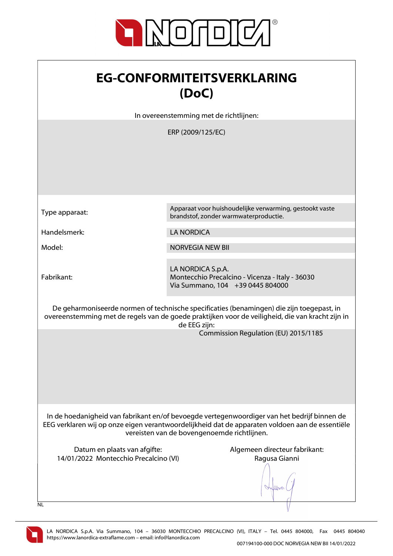

| <b>EG-CONFORMITEITSVERKLARING</b> |
|-----------------------------------|
| (DoC)                             |

In overeenstemming met de richtlijnen:

ERP (2009/125/EC)

Fabrikant:

Type apparaat: Apparaat voor huishoudelijke verwarming, gestookt vaste brandstof, zonder warmwaterproductie.

Handelsmerk: LA NORDICA

Model: NORVEGIA NEW BII

LA NORDICA S.p.A. Montecchio Precalcino - Vicenza - Italy - 36030 Via Summano, 104 +39 0445 804000

De geharmoniseerde normen of technische specificaties (benamingen) die zijn toegepast, in overeenstemming met de regels van de goede praktijken voor de veiligheid, die van kracht zijn in de EEG zijn:

Commission Regulation (EU) 2015/1185

In de hoedanigheid van fabrikant en/of bevoegde vertegenwoordiger van het bedrijf binnen de EEG verklaren wij op onze eigen verantwoordelijkheid dat de apparaten voldoen aan de essentiële vereisten van de bovengenoemde richtlijnen.

Datum en plaats van afgifte: Algemeen directeur fabrikant: 14/01/2022 Montecchio Precalcino (VI) Ragusa Gianni

When

 $\overline{N}$ 

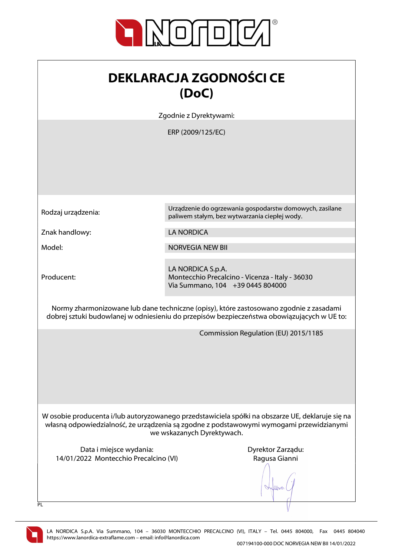

| <b>DEKLARACJA ZGODNOŚCI CE</b> |
|--------------------------------|
| (DoC)                          |

Zgodnie z Dyrektywami:

ERP (2009/125/EC)

Znak handlowy: LA NORDICA

Producent:

Rodzaj urządzenia: Urządzenie do ogrzewania gospodarstw domowych, zasilane paliwem stałym, bez wytwarzania ciepłej wody.

Model: NORVEGIA NEW BII

LA NORDICA S.p.A. Montecchio Precalcino - Vicenza - Italy - 36030 Via Summano, 104 +39 0445 804000

Normy zharmonizowane lub dane techniczne (opisy), które zastosowano zgodnie z zasadami dobrej sztuki budowlanej w odniesieniu do przepisów bezpieczeństwa obowiązujących w UE to:

Commission Regulation (EU) 2015/1185

W osobie producenta i/lub autoryzowanego przedstawiciela spółki na obszarze UE, deklaruje się na własną odpowiedzialność, że urządzenia są zgodne z podstawowymi wymogami przewidzianymi we wskazanych Dyrektywach.

Data i miejsce wydania: Data i miejsce wydania: Dyrektor Zarządu: 14/01/2022 Montecchio Precalcino (VI) Ragusa Gianni

When

 $\overline{PI}$